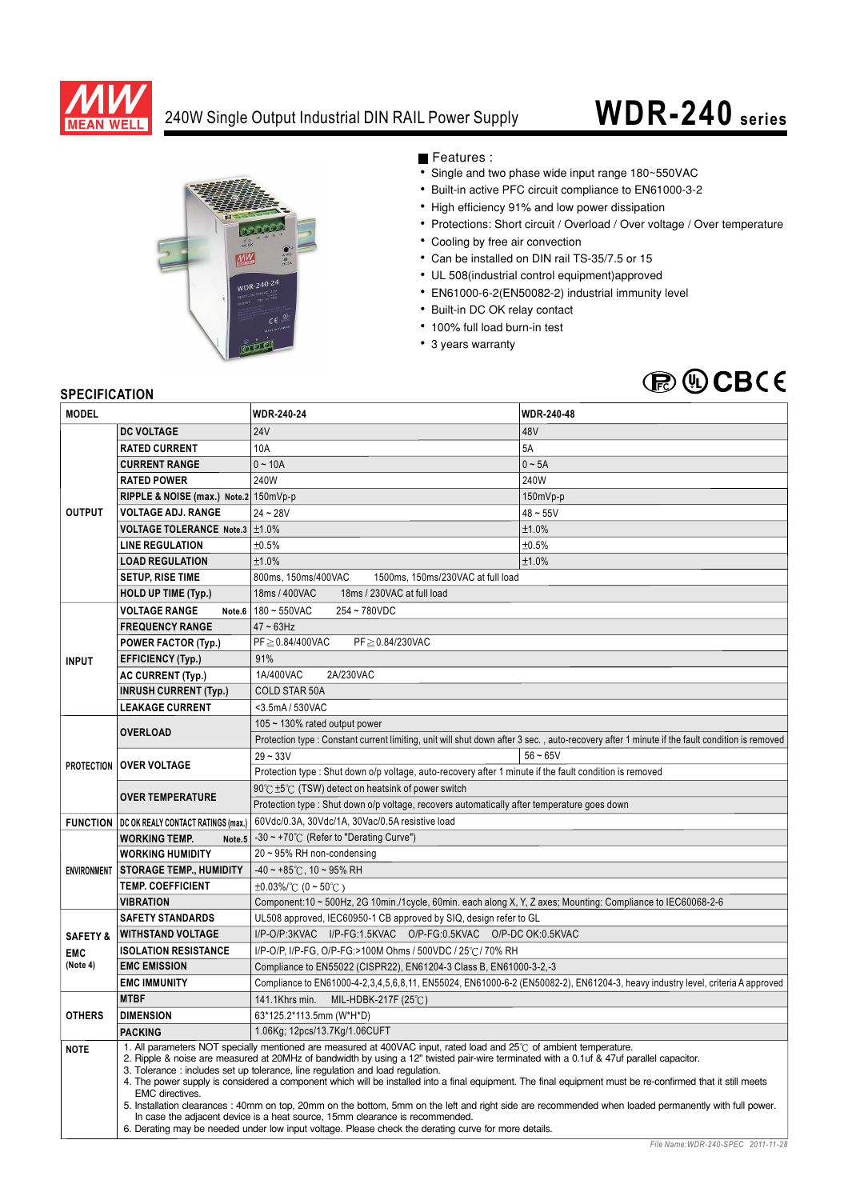

### 240W Single Output Industrial DIN RAIL Power Supply

# **WDR-240 series**



Features :

- Single and two phase wide input range 180~550VAC
- Built-in active PFC circuit compliance to EN61000-3-2
- High efficiency 91% and low power dissipation
- Protections: Short circuit / Overload / Over voltage / Over temperature
- Cooling by free air convection
- Can be installed on DIN rail TS-35/7.5 or 15
- UL 508(industrial control equipment)approved
- EN61000-6-2(EN50082-2) industrial immunity level
- Built-in DC OK relay contact
- 100% full load burn-in test
- 3 years warranty

## **BOCBCE**

#### **SPECIFICATION**

| <b>MODEL</b>              |                                                                                                                                                                                                                                                                                                                                                                                                                                                                                                                                                                           | <b>WDR-240-24</b>                                                                                                                                                                    | <b>WDR-240-48</b> |
|---------------------------|---------------------------------------------------------------------------------------------------------------------------------------------------------------------------------------------------------------------------------------------------------------------------------------------------------------------------------------------------------------------------------------------------------------------------------------------------------------------------------------------------------------------------------------------------------------------------|--------------------------------------------------------------------------------------------------------------------------------------------------------------------------------------|-------------------|
|                           | <b>DC VOLTAGE</b>                                                                                                                                                                                                                                                                                                                                                                                                                                                                                                                                                         | <b>24V</b>                                                                                                                                                                           | 48V               |
| <b>OUTPUT</b>             | <b>RATED CURRENT</b>                                                                                                                                                                                                                                                                                                                                                                                                                                                                                                                                                      | 10A                                                                                                                                                                                  | 5A                |
|                           | <b>CURRENT RANGE</b>                                                                                                                                                                                                                                                                                                                                                                                                                                                                                                                                                      | $0 - 10A$                                                                                                                                                                            | $0 - 5A$          |
|                           | <b>RATED POWER</b>                                                                                                                                                                                                                                                                                                                                                                                                                                                                                                                                                        | 240W                                                                                                                                                                                 | 240W              |
|                           | RIPPLE & NOISE (max.) Note.2 150mVp-p                                                                                                                                                                                                                                                                                                                                                                                                                                                                                                                                     |                                                                                                                                                                                      | $150mVp-p$        |
|                           | <b>VOLTAGE ADJ. RANGE</b>                                                                                                                                                                                                                                                                                                                                                                                                                                                                                                                                                 | $24 - 28V$                                                                                                                                                                           | $48 - 55V$        |
|                           | VOLTAGE TOLERANCE Note.3   ±1.0%                                                                                                                                                                                                                                                                                                                                                                                                                                                                                                                                          |                                                                                                                                                                                      | ±1.0%             |
|                           | <b>LINE REGULATION</b>                                                                                                                                                                                                                                                                                                                                                                                                                                                                                                                                                    | ±0.5%                                                                                                                                                                                | ±0.5%             |
|                           | <b>LOAD REGULATION</b>                                                                                                                                                                                                                                                                                                                                                                                                                                                                                                                                                    | ±1.0%                                                                                                                                                                                | ±1.0%             |
|                           | <b>SETUP, RISE TIME</b>                                                                                                                                                                                                                                                                                                                                                                                                                                                                                                                                                   | 800ms, 150ms/400VAC<br>1500ms, 150ms/230VAC at full load                                                                                                                             |                   |
|                           | <b>HOLD UP TIME (Typ.)</b>                                                                                                                                                                                                                                                                                                                                                                                                                                                                                                                                                | 18ms / 400VAC<br>18ms / 230VAC at full load                                                                                                                                          |                   |
| <b>INPUT</b>              | <b>VOLTAGE RANGE</b>                                                                                                                                                                                                                                                                                                                                                                                                                                                                                                                                                      | Note.6   180 ~ 550VAC<br>254~780VDC                                                                                                                                                  |                   |
|                           | <b>FREQUENCY RANGE</b>                                                                                                                                                                                                                                                                                                                                                                                                                                                                                                                                                    | $47 \sim 63$ Hz                                                                                                                                                                      |                   |
|                           | <b>POWER FACTOR (Typ.)</b>                                                                                                                                                                                                                                                                                                                                                                                                                                                                                                                                                | PF≥0.84/400VAC<br>PF≥0.84/230VAC                                                                                                                                                     |                   |
|                           | <b>EFFICIENCY (Typ.)</b>                                                                                                                                                                                                                                                                                                                                                                                                                                                                                                                                                  | 91%                                                                                                                                                                                  |                   |
|                           | <b>AC CURRENT (Typ.)</b>                                                                                                                                                                                                                                                                                                                                                                                                                                                                                                                                                  | 1A/400VAC<br>2A/230VAC                                                                                                                                                               |                   |
|                           | <b>INRUSH CURRENT (Typ.)</b>                                                                                                                                                                                                                                                                                                                                                                                                                                                                                                                                              | <b>COLD STAR 50A</b>                                                                                                                                                                 |                   |
|                           | <b>LEAKAGE CURRENT</b>                                                                                                                                                                                                                                                                                                                                                                                                                                                                                                                                                    | <3.5mA / 530VAC                                                                                                                                                                      |                   |
| PROTECTION   OVER VOLTAGE | <b>OVERLOAD</b>                                                                                                                                                                                                                                                                                                                                                                                                                                                                                                                                                           | 105 $\sim$ 130% rated output power                                                                                                                                                   |                   |
|                           |                                                                                                                                                                                                                                                                                                                                                                                                                                                                                                                                                                           | Protection type: Constant current limiting, unit will shut down after 3 sec., auto-recovery after 1 minute if the fault condition is removed                                         |                   |
|                           |                                                                                                                                                                                                                                                                                                                                                                                                                                                                                                                                                                           | $29 - 33V$                                                                                                                                                                           | $56 - 65V$        |
|                           |                                                                                                                                                                                                                                                                                                                                                                                                                                                                                                                                                                           | Protection type : Shut down o/p voltage, auto-recovery after 1 minute if the fault condition is removed                                                                              |                   |
|                           | <b>OVER TEMPERATURE</b>                                                                                                                                                                                                                                                                                                                                                                                                                                                                                                                                                   | 90℃ ±5℃ (TSW) detect on heatsink of power switch                                                                                                                                     |                   |
|                           |                                                                                                                                                                                                                                                                                                                                                                                                                                                                                                                                                                           | Protection type : Shut down o/p voltage, recovers automatically after temperature goes down                                                                                          |                   |
|                           | <b>FUNCTION   DC OK REALY CONTACT RATINGS (max.)</b>                                                                                                                                                                                                                                                                                                                                                                                                                                                                                                                      | 60Vdc/0.3A, 30Vdc/1A, 30Vac/0.5A resistive load                                                                                                                                      |                   |
| <b>ENVIRONMENT</b>        | <b>WORKING TEMP.</b><br>Note.5                                                                                                                                                                                                                                                                                                                                                                                                                                                                                                                                            | $-30 \sim +70^{\circ}$ (Refer to "Derating Curve")                                                                                                                                   |                   |
|                           | <b>WORKING HUMIDITY</b>                                                                                                                                                                                                                                                                                                                                                                                                                                                                                                                                                   | 20~95% RH non-condensing                                                                                                                                                             |                   |
|                           | <b>STORAGE TEMP., HUMIDITY</b>                                                                                                                                                                                                                                                                                                                                                                                                                                                                                                                                            | $-40 \sim +85^{\circ}$ C, 10 ~ 95% RH                                                                                                                                                |                   |
|                           | <b>TEMP. COEFFICIENT</b>                                                                                                                                                                                                                                                                                                                                                                                                                                                                                                                                                  | $\pm 0.03\%$ (0 ~ 50°C)                                                                                                                                                              |                   |
|                           | <b>VIBRATION</b>                                                                                                                                                                                                                                                                                                                                                                                                                                                                                                                                                          | Component:10 ~ 500Hz, 2G 10min./1cycle, 60min. each along X, Y, Z axes; Mounting: Compliance to IEC60068-2-6                                                                         |                   |
| <b>SAFETY STANDARDS</b>   |                                                                                                                                                                                                                                                                                                                                                                                                                                                                                                                                                                           | UL508 approved, IEC60950-1 CB approved by SIQ, design refer to GL                                                                                                                    |                   |
| <b>SAFETY &amp;</b>       | <b>WITHSTAND VOLTAGE</b>                                                                                                                                                                                                                                                                                                                                                                                                                                                                                                                                                  | I/P-O/P:3KVAC I/P-FG:1.5KVAC O/P-FG:0.5KVAC O/P-DCOK:0.5KVAC                                                                                                                         |                   |
| <b>EMC</b>                | <b>ISOLATION RESISTANCE</b>                                                                                                                                                                                                                                                                                                                                                                                                                                                                                                                                               | I/P-O/P, I/P-FG, O/P-FG:>100M Ohms / 500VDC / 25°C / 70% RH                                                                                                                          |                   |
| (Note 4)                  | <b>EMC EMISSION</b>                                                                                                                                                                                                                                                                                                                                                                                                                                                                                                                                                       | Compliance to EN55022 (CISPR22), EN61204-3 Class B, EN61000-3-2,-3                                                                                                                   |                   |
|                           | <b>EMC IMMUNITY</b>                                                                                                                                                                                                                                                                                                                                                                                                                                                                                                                                                       | Compliance to EN61000-4-2,3,4,5,6,8,11, EN55024, EN61000-6-2 (EN50082-2), EN61204-3, heavy industry level, criteria A approved                                                       |                   |
| <b>OTHERS</b>             | <b>MTBF</b>                                                                                                                                                                                                                                                                                                                                                                                                                                                                                                                                                               | 141.1Khrs min. MIL-HDBK-217F (25℃)                                                                                                                                                   |                   |
|                           | <b>DIMENSION</b>                                                                                                                                                                                                                                                                                                                                                                                                                                                                                                                                                          | 63*125.2*113.5mm (W*H*D)                                                                                                                                                             |                   |
|                           | 1.06Kg; 12pcs/13.7Kg/1.06CUFT<br><b>PACKING</b><br>1. All parameters NOT specially mentioned are measured at 400VAC input, rated load and 25°C of ambient temperature.                                                                                                                                                                                                                                                                                                                                                                                                    |                                                                                                                                                                                      |                   |
| <b>NOTE</b>               | 2. Ripple & noise are measured at 20MHz of bandwidth by using a 12" twisted pair-wire terminated with a 0.1uf & 47uf parallel capacitor.<br>3. Tolerance: includes set up tolerance, line regulation and load regulation.<br>4. The power supply is considered a component which will be installed into a final equipment. The final equipment must be re-confirmed that it still meets<br><b>EMC</b> directives.<br>5. Installation clearances: 40mm on top, 20mm on the bottom, 5mm on the left and right side are recommended when loaded permanently with full power. |                                                                                                                                                                                      |                   |
|                           |                                                                                                                                                                                                                                                                                                                                                                                                                                                                                                                                                                           |                                                                                                                                                                                      |                   |
|                           |                                                                                                                                                                                                                                                                                                                                                                                                                                                                                                                                                                           |                                                                                                                                                                                      |                   |
|                           |                                                                                                                                                                                                                                                                                                                                                                                                                                                                                                                                                                           |                                                                                                                                                                                      |                   |
|                           |                                                                                                                                                                                                                                                                                                                                                                                                                                                                                                                                                                           | In case the adjacent device is a heat source, 15mm clearance is recommended.<br>6. Derating may be needed under low input voltage. Please check the derating curve for more details. |                   |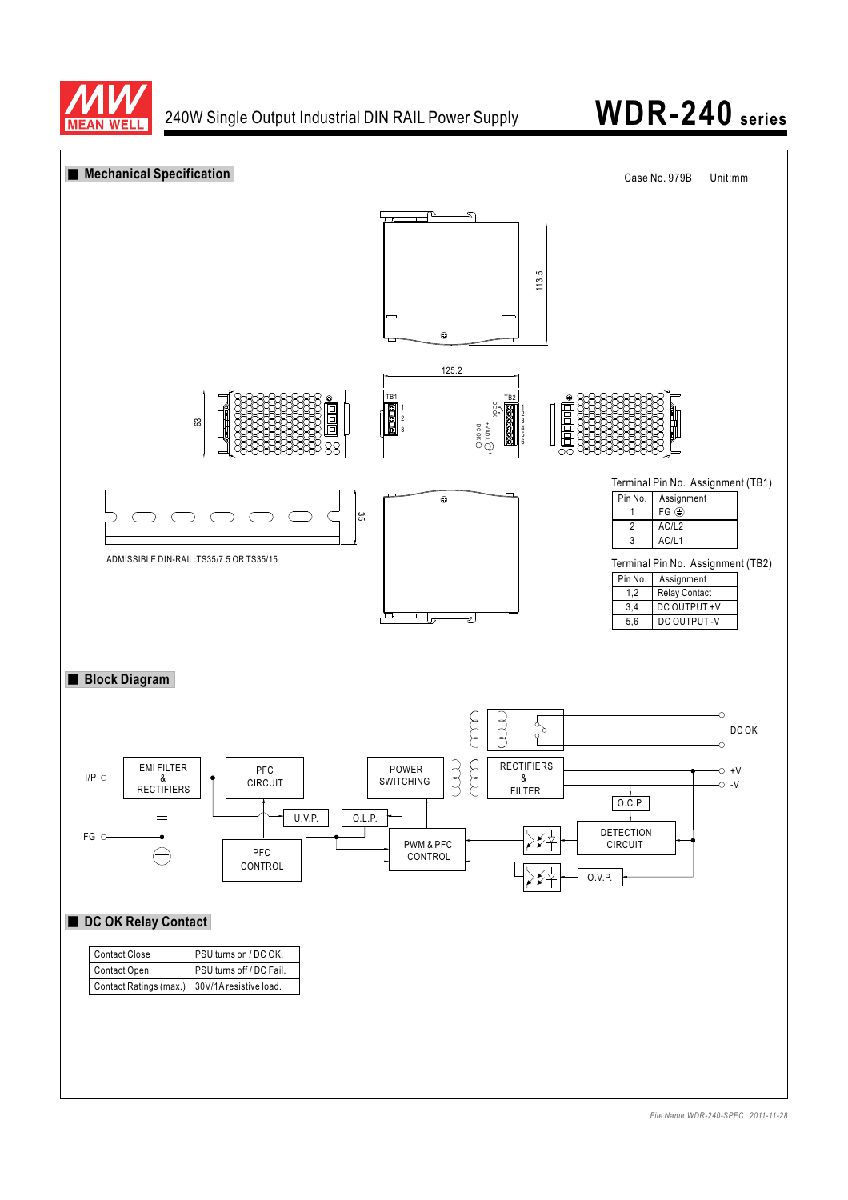